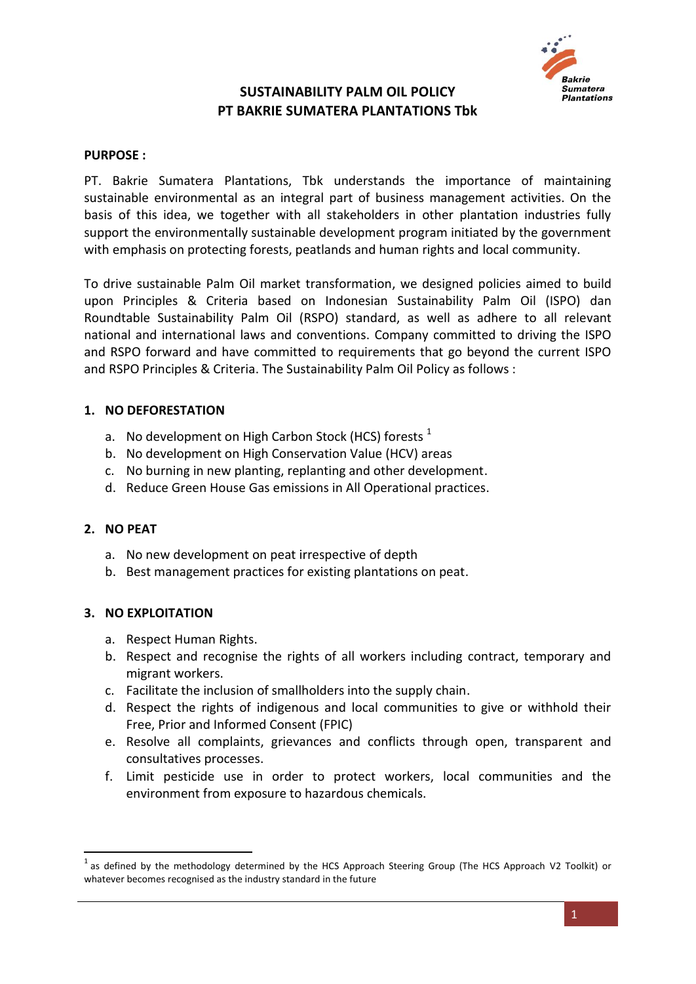

## **SUSTAINABILITY PALM OIL POLICY PT BAKRIE SUMATERA PLANTATIONS Tbk**

#### **PURPOSE :**

PT. Bakrie Sumatera Plantations, Tbk understands the importance of maintaining sustainable environmental as an integral part of business management activities. On the basis of this idea, we together with all stakeholders in other plantation industries fully support the environmentally sustainable development program initiated by the government with emphasis on protecting forests, peatlands and human rights and local community.

To drive sustainable Palm Oil market transformation, we designed policies aimed to build upon Principles & Criteria based on Indonesian Sustainability Palm Oil (ISPO) dan Roundtable Sustainability Palm Oil (RSPO) standard, as well as adhere to all relevant national and international laws and conventions. Company committed to driving the ISPO and RSPO forward and have committed to requirements that go beyond the current ISPO and RSPO Principles & Criteria. The Sustainability Palm Oil Policy as follows :

#### **1. NO DEFORESTATION**

- a. No development on High Carbon Stock (HCS) forests  $<sup>1</sup>$ </sup>
- b. No development on High Conservation Value (HCV) areas
- c. No burning in new planting, replanting and other development.
- d. Reduce Green House Gas emissions in All Operational practices.

#### **2. NO PEAT**

**.** 

- a. No new development on peat irrespective of depth
- b. Best management practices for existing plantations on peat.

#### **3. NO EXPLOITATION**

- a. Respect Human Rights.
- b. Respect and recognise the rights of all workers including contract, temporary and migrant workers.
- c. Facilitate the inclusion of smallholders into the supply chain.
- d. Respect the rights of indigenous and local communities to give or withhold their Free, Prior and Informed Consent (FPIC)
- e. Resolve all complaints, grievances and conflicts through open, transparent and consultatives processes.
- f. Limit pesticide use in order to protect workers, local communities and the environment from exposure to hazardous chemicals.

 $^1$  as defined by the methodology determined by the HCS Approach Steering Group (The HCS Approach V2 Toolkit) or whatever becomes recognised as the industry standard in the future